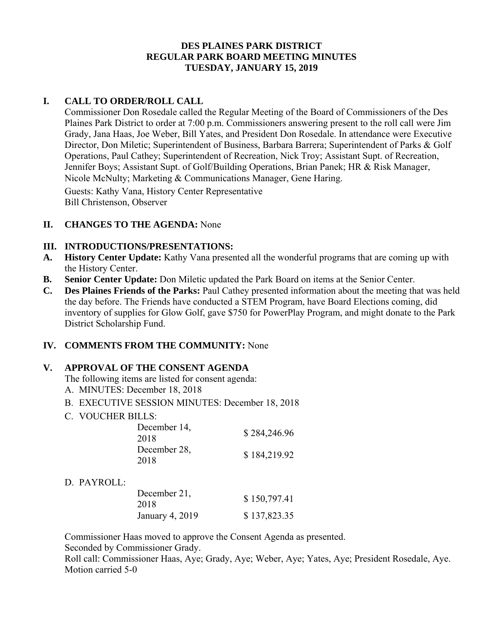### **DES PLAINES PARK DISTRICT REGULAR PARK BOARD MEETING MINUTES TUESDAY, JANUARY 15, 2019**

## **I. CALL TO ORDER/ROLL CALL**

Commissioner Don Rosedale called the Regular Meeting of the Board of Commissioners of the Des Plaines Park District to order at 7:00 p.m. Commissioners answering present to the roll call were Jim Grady, Jana Haas, Joe Weber, Bill Yates, and President Don Rosedale. In attendance were Executive Director, Don Miletic; Superintendent of Business, Barbara Barrera; Superintendent of Parks & Golf Operations, Paul Cathey; Superintendent of Recreation, Nick Troy; Assistant Supt. of Recreation, Jennifer Boys; Assistant Supt. of Golf/Building Operations, Brian Panek; HR & Risk Manager, Nicole McNulty; Marketing & Communications Manager, Gene Haring.

Guests: Kathy Vana, History Center Representative Bill Christenson, Observer

### **II. CHANGES TO THE AGENDA:** None

### **III. INTRODUCTIONS/PRESENTATIONS:**

- **A. History Center Update:** Kathy Vana presented all the wonderful programs that are coming up with the History Center.
- **B. Senior Center Update:** Don Miletic updated the Park Board on items at the Senior Center.
- **C. Des Plaines Friends of the Parks:** Paul Cathey presented information about the meeting that was held the day before. The Friends have conducted a STEM Program, have Board Elections coming, did inventory of supplies for Glow Golf, gave \$750 for PowerPlay Program, and might donate to the Park District Scholarship Fund.

# **IV. COMMENTS FROM THE COMMUNITY:** None

### **V. APPROVAL OF THE CONSENT AGENDA**

- The following items are listed for consent agenda:
- A. MINUTES: December 18, 2018
- B. EXECUTIVE SESSION MINUTES: December 18, 2018
- C. VOUCHER BILLS:

| December 14,<br>2018 | \$284,246.96 |
|----------------------|--------------|
| December 28,<br>2018 | \$184,219.92 |

### D. PAYROLL:

| December 21,    | \$150,797.41 |
|-----------------|--------------|
| 2018            |              |
| January 4, 2019 | \$137,823.35 |

Commissioner Haas moved to approve the Consent Agenda as presented. Seconded by Commissioner Grady.

Roll call: Commissioner Haas, Aye; Grady, Aye; Weber, Aye; Yates, Aye; President Rosedale, Aye. Motion carried 5-0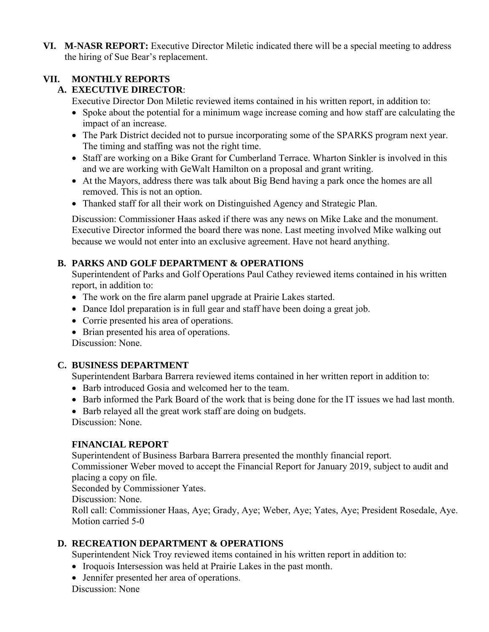**VI. M-NASR REPORT:** Executive Director Miletic indicated there will be a special meeting to address the hiring of Sue Bear's replacement.

# **VII. MONTHLY REPORTS**

# **A. EXECUTIVE DIRECTOR**:

Executive Director Don Miletic reviewed items contained in his written report, in addition to:

- Spoke about the potential for a minimum wage increase coming and how staff are calculating the impact of an increase.
- The Park District decided not to pursue incorporating some of the SPARKS program next year. The timing and staffing was not the right time.
- Staff are working on a Bike Grant for Cumberland Terrace. Wharton Sinkler is involved in this and we are working with GeWalt Hamilton on a proposal and grant writing.
- At the Mayors, address there was talk about Big Bend having a park once the homes are all removed. This is not an option.
- Thanked staff for all their work on Distinguished Agency and Strategic Plan.

Discussion: Commissioner Haas asked if there was any news on Mike Lake and the monument. Executive Director informed the board there was none. Last meeting involved Mike walking out because we would not enter into an exclusive agreement. Have not heard anything.

# **B. PARKS AND GOLF DEPARTMENT & OPERATIONS**

Superintendent of Parks and Golf Operations Paul Cathey reviewed items contained in his written report, in addition to:

- The work on the fire alarm panel upgrade at Prairie Lakes started.
- Dance Idol preparation is in full gear and staff have been doing a great job.
- Corrie presented his area of operations.
- Brian presented his area of operations.

Discussion: None.

# **C. BUSINESS DEPARTMENT**

Superintendent Barbara Barrera reviewed items contained in her written report in addition to:

- Barb introduced Gosia and welcomed her to the team.
- Barb informed the Park Board of the work that is being done for the IT issues we had last month.
- Barb relayed all the great work staff are doing on budgets.

Discussion: None.

# **FINANCIAL REPORT**

Superintendent of Business Barbara Barrera presented the monthly financial report.

Commissioner Weber moved to accept the Financial Report for January 2019, subject to audit and placing a copy on file.

Seconded by Commissioner Yates.

Discussion: None.

Roll call: Commissioner Haas, Aye; Grady, Aye; Weber, Aye; Yates, Aye; President Rosedale, Aye. Motion carried 5-0

# **D. RECREATION DEPARTMENT & OPERATIONS**

Superintendent Nick Troy reviewed items contained in his written report in addition to:

- Iroquois Intersession was held at Prairie Lakes in the past month.
- Jennifer presented her area of operations.

Discussion: None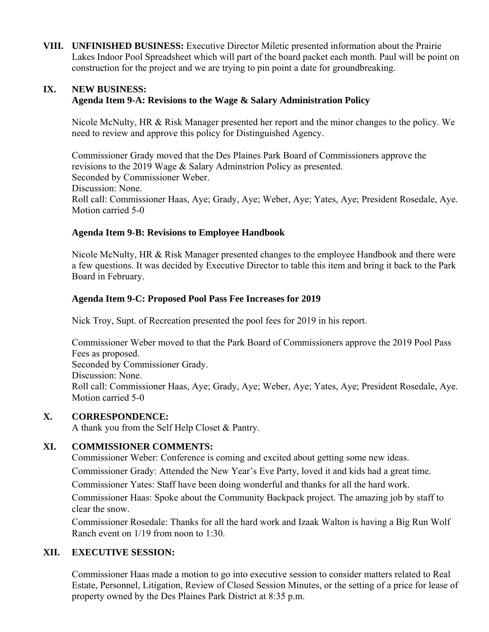**VIII. UNFINISHED BUSINESS:** Executive Director Miletic presented information about the Prairie Lakes Indoor Pool Spreadsheet which will part of the board packet each month. Paul will be point on construction for the project and we are trying to pin point a date for groundbreaking.

### **IX. NEW BUSINESS: Agenda Item 9-A: Revisions to the Wage & Salary Administration Policy**

Nicole McNulty, HR & Risk Manager presented her report and the minor changes to the policy. We need to review and approve this policy for Distinguished Agency.

Commissioner Grady moved that the Des Plaines Park Board of Commissioners approve the revisions to the 2019 Wage & Salary Adminstrion Policy as presented. Seconded by Commissioner Weber. Discussion: None. Roll call: Commissioner Haas, Aye; Grady, Aye; Weber, Aye; Yates, Aye; President Rosedale, Aye. Motion carried 5-0

## **Agenda Item 9-B: Revisions to Employee Handbook**

 Nicole McNulty, HR & Risk Manager presented changes to the employee Handbook and there were a few questions. It was decided by Executive Director to table this item and bring it back to the Park Board in February.

### **Agenda Item 9-C: Proposed Pool Pass Fee Increases for 2019**

Nick Troy, Supt. of Recreation presented the pool fees for 2019 in his report.

Commissioner Weber moved to that the Park Board of Commissioners approve the 2019 Pool Pass Fees as proposed. Seconded by Commissioner Grady. Discussion: None. Roll call: Commissioner Haas, Aye; Grady, Aye; Weber, Aye; Yates, Aye; President Rosedale, Aye. Motion carried 5-0

### **X. CORRESPONDENCE:**

A thank you from the Self Help Closet & Pantry.

# **XI. COMMISSIONER COMMENTS:**

Commissioner Weber: Conference is coming and excited about getting some new ideas. Commissioner Grady: Attended the New Year's Eve Party, loved it and kids had a great time.

Commissioner Yates: Staff have been doing wonderful and thanks for all the hard work.

Commissioner Haas: Spoke about the Community Backpack project. The amazing job by staff to clear the snow.

Commissioner Rosedale: Thanks for all the hard work and Izaak Walton is having a Big Run Wolf Ranch event on 1/19 from noon to 1:30.

### **XII. EXECUTIVE SESSION:**

Commissioner Haas made a motion to go into executive session to consider matters related to Real Estate, Personnel, Litigation, Review of Closed Session Minutes, or the setting of a price for lease of property owned by the Des Plaines Park District at 8:35 p.m.